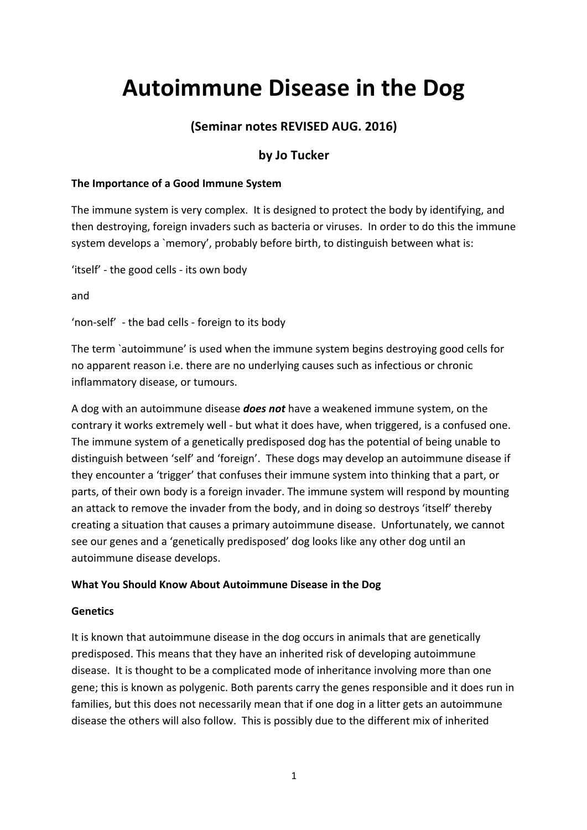# **Autoimmune Disease in the Dog**

# **(Seminar notes REVISED AUG. 2016)**

# **by Jo Tucker**

# **The Importance of a Good Immune System**

The immune system is very complex. It is designed to protect the body by identifying, and then destroying, foreign invaders such as bacteria or viruses. In order to do this the immune system develops a `memory', probably before birth, to distinguish between what is:

'itself' - the good cells - its own body

and

'non-self' - the bad cells - foreign to its body

The term `autoimmune' is used when the immune system begins destroying good cells for no apparent reason i.e. there are no underlying causes such as infectious or chronic inflammatory disease, or tumours.

A dog with an autoimmune disease *does not* have a weakened immune system, on the contrary it works extremely well - but what it does have, when triggered, is a confused one. The immune system of a genetically predisposed dog has the potential of being unable to distinguish between 'self' and 'foreign'. These dogs may develop an autoimmune disease if they encounter a 'trigger' that confuses their immune system into thinking that a part, or parts, of their own body is a foreign invader. The immune system will respond by mounting an attack to remove the invader from the body, and in doing so destroys 'itself' thereby creating a situation that causes a primary autoimmune disease. Unfortunately, we cannot see our genes and a 'genetically predisposed' dog looks like any other dog until an autoimmune disease develops.

# **What You Should Know About Autoimmune Disease in the Dog**

# **Genetics**

It is known that autoimmune disease in the dog occurs in animals that are genetically predisposed. This means that they have an inherited risk of developing autoimmune disease. It is thought to be a complicated mode of inheritance involving more than one gene; this is known as polygenic. Both parents carry the genes responsible and it does run in families, but this does not necessarily mean that if one dog in a litter gets an autoimmune disease the others will also follow. This is possibly due to the different mix of inherited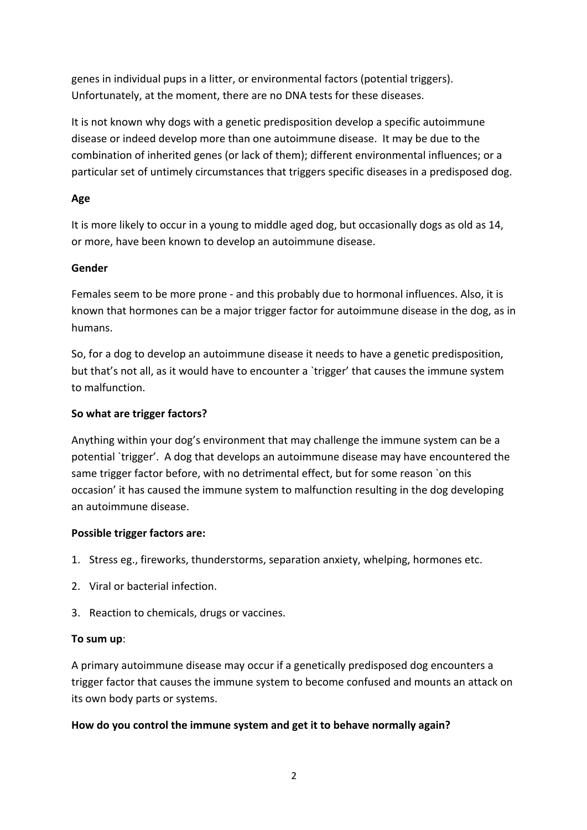genes in individual pups in a litter, or environmental factors (potential triggers). Unfortunately, at the moment, there are no DNA tests for these diseases.

It is not known why dogs with a genetic predisposition develop a specific autoimmune disease or indeed develop more than one autoimmune disease. It may be due to the combination of inherited genes (or lack of them); different environmental influences; or a particular set of untimely circumstances that triggers specific diseases in a predisposed dog.

# **Age**

It is more likely to occur in a young to middle aged dog, but occasionally dogs as old as 14, or more, have been known to develop an autoimmune disease.

# **Gender**

Females seem to be more prone - and this probably due to hormonal influences. Also, it is known that hormones can be a major trigger factor for autoimmune disease in the dog, as in humans.

So, for a dog to develop an autoimmune disease it needs to have a genetic predisposition, but that's not all, as it would have to encounter a `trigger' that causes the immune system to malfunction.

# **So what are trigger factors?**

Anything within your dog's environment that may challenge the immune system can be a potential `trigger'. A dog that develops an autoimmune disease may have encountered the same trigger factor before, with no detrimental effect, but for some reason `on this occasion' it has caused the immune system to malfunction resulting in the dog developing an autoimmune disease.

# **Possible trigger factors are:**

- 1. Stress eg., fireworks, thunderstorms, separation anxiety, whelping, hormones etc.
- 2. Viral or bacterial infection.
- 3. Reaction to chemicals, drugs or vaccines.

# **To sum up**:

A primary autoimmune disease may occur if a genetically predisposed dog encounters a trigger factor that causes the immune system to become confused and mounts an attack on its own body parts or systems.

# **How do you control the immune system and get it to behave normally again?**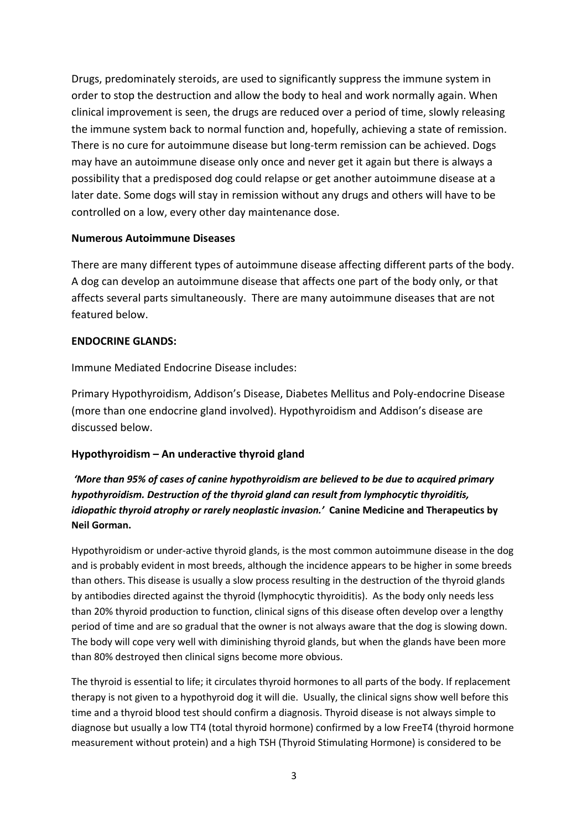Drugs, predominately steroids, are used to significantly suppress the immune system in order to stop the destruction and allow the body to heal and work normally again. When clinical improvement is seen, the drugs are reduced over a period of time, slowly releasing the immune system back to normal function and, hopefully, achieving a state of remission. There is no cure for autoimmune disease but long-term remission can be achieved. Dogs may have an autoimmune disease only once and never get it again but there is always a possibility that a predisposed dog could relapse or get another autoimmune disease at a later date. Some dogs will stay in remission without any drugs and others will have to be controlled on a low, every other day maintenance dose.

# **Numerous Autoimmune Diseases**

There are many different types of autoimmune disease affecting different parts of the body. A dog can develop an autoimmune disease that affects one part of the body only, or that affects several parts simultaneously. There are many autoimmune diseases that are not featured below.

## **ENDOCRINE GLANDS:**

Immune Mediated Endocrine Disease includes:

Primary Hypothyroidism, Addison's Disease, Diabetes Mellitus and Poly-endocrine Disease (more than one endocrine gland involved). Hypothyroidism and Addison's disease are discussed below.

# **Hypothyroidism – An underactive thyroid gland**

*'More than 95% of cases of canine hypothyroidism are believed to be due to acquired primary hypothyroidism. Destruction of the thyroid gland can result from lymphocytic thyroiditis, idiopathic thyroid atrophy or rarely neoplastic invasion.'* **Canine Medicine and Therapeutics by Neil Gorman.**

Hypothyroidism or under-active thyroid glands, is the most common autoimmune disease in the dog and is probably evident in most breeds, although the incidence appears to be higher in some breeds than others. This disease is usually a slow process resulting in the destruction of the thyroid glands by antibodies directed against the thyroid (lymphocytic thyroiditis). As the body only needs less than 20% thyroid production to function, clinical signs of this disease often develop over a lengthy period of time and are so gradual that the owner is not always aware that the dog is slowing down. The body will cope very well with diminishing thyroid glands, but when the glands have been more than 80% destroyed then clinical signs become more obvious.

The thyroid is essential to life; it circulates thyroid hormones to all parts of the body. If replacement therapy is not given to a hypothyroid dog it will die. Usually, the clinical signs show well before this time and a thyroid blood test should confirm a diagnosis. Thyroid disease is not always simple to diagnose but usually a low TT4 (total thyroid hormone) confirmed by a low FreeT4 (thyroid hormone measurement without protein) and a high TSH (Thyroid Stimulating Hormone) is considered to be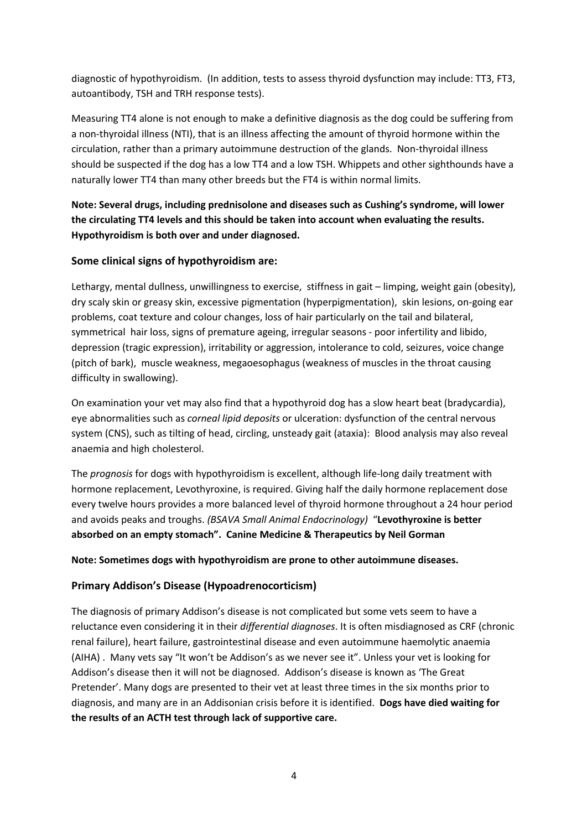diagnostic of hypothyroidism. (In addition, tests to assess thyroid dysfunction may include: TT3, FT3, autoantibody, TSH and TRH response tests).

Measuring TT4 alone is not enough to make a definitive diagnosis as the dog could be suffering from a non-thyroidal illness (NTI), that is an illness affecting the amount of thyroid hormone within the circulation, rather than a primary autoimmune destruction of the glands. Non-thyroidal illness should be suspected if the dog has a low TT4 and a low TSH. Whippets and other sighthounds have a naturally lower TT4 than many other breeds but the FT4 is within normal limits.

# **Note: Several drugs, including prednisolone and diseases such as Cushing's syndrome, will lower the circulating TT4 levels and this should be taken into account when evaluating the results. Hypothyroidism is both over and under diagnosed.**

# **Some clinical signs of hypothyroidism are:**

Lethargy, mental dullness, unwillingness to exercise, stiffness in gait – limping, weight gain (obesity), dry scaly skin or greasy skin, excessive pigmentation (hyperpigmentation), skin lesions, on-going ear problems, coat texture and colour changes, loss of hair particularly on the tail and bilateral, symmetrical hair loss, signs of premature ageing, irregular seasons - poor infertility and libido, depression (tragic expression), irritability or aggression, intolerance to cold, seizures, voice change (pitch of bark), muscle weakness, megaoesophagus (weakness of muscles in the throat causing difficulty in swallowing).

On examination your vet may also find that a hypothyroid dog has a slow heart beat (bradycardia), eye abnormalities such as *corneal lipid deposits* or ulceration: dysfunction of the central nervous system (CNS), such as tilting of head, circling, unsteady gait (ataxia): Blood analysis may also reveal anaemia and high cholesterol.

The *prognosis* for dogs with hypothyroidism is excellent, although life-long daily treatment with hormone replacement, Levothyroxine, is required. Giving half the daily hormone replacement dose every twelve hours provides a more balanced level of thyroid hormone throughout a 24 hour period and avoids peaks and troughs. *(BSAVA Small Animal Endocrinology)* "**Levothyroxine is better absorbed on an empty stomach". Canine Medicine & Therapeutics by Neil Gorman**

**Note: Sometimes dogs with hypothyroidism are prone to other autoimmune diseases.**

# **Primary Addison's Disease (Hypoadrenocorticism)**

The diagnosis of primary Addison's disease is not complicated but some vets seem to have a reluctance even considering it in their *differential diagnoses*. It is often misdiagnosed as CRF (chronic renal failure), heart failure, gastrointestinal disease and even autoimmune haemolytic anaemia (AIHA) . Many vets say "It won't be Addison's as we never see it". Unless your vet is looking for Addison's disease then it will not be diagnosed. Addison's disease is known as 'The Great Pretender'. Many dogs are presented to their vet at least three times in the six months prior to diagnosis, and many are in an Addisonian crisis before it is identified. **Dogs have died waiting for the results of an ACTH test through lack of supportive care.**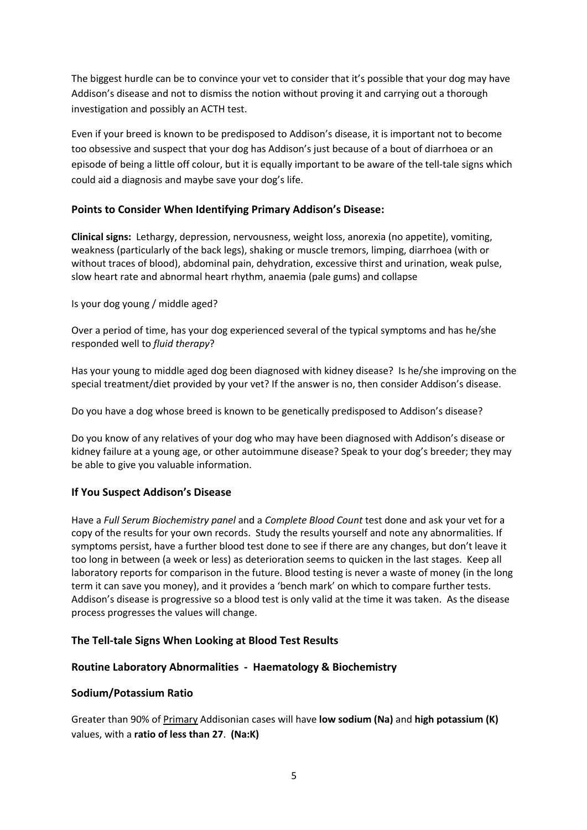The biggest hurdle can be to convince your vet to consider that it's possible that your dog may have Addison's disease and not to dismiss the notion without proving it and carrying out a thorough investigation and possibly an ACTH test.

Even if your breed is known to be predisposed to Addison's disease, it is important not to become too obsessive and suspect that your dog has Addison's just because of a bout of diarrhoea or an episode of being a little off colour, but it is equally important to be aware of the tell-tale signs which could aid a diagnosis and maybe save your dog's life.

# **Points to Consider When Identifying Primary Addison's Disease:**

**Clinical signs:** Lethargy, depression, nervousness, weight loss, anorexia (no appetite), vomiting, weakness (particularly of the back legs), shaking or muscle tremors, limping, diarrhoea (with or without traces of blood), abdominal pain, dehydration, excessive thirst and urination, weak pulse, slow heart rate and abnormal heart rhythm, anaemia (pale gums) and collapse

Is your dog young / middle aged?

Over a period of time, has your dog experienced several of the typical symptoms and has he/she responded well to *fluid therapy*?

Has your young to middle aged dog been diagnosed with kidney disease? Is he/she improving on the special treatment/diet provided by your vet? If the answer is no, then consider Addison's disease.

Do you have a dog whose breed is known to be genetically predisposed to Addison's disease?

Do you know of any relatives of your dog who may have been diagnosed with Addison's disease or kidney failure at a young age, or other autoimmune disease? Speak to your dog's breeder; they may be able to give you valuable information.

# **If You Suspect Addison's Disease**

Have a *Full Serum Biochemistry panel* and a *Complete Blood Count* test done and ask your vet for a copy of the results for your own records. Study the results yourself and note any abnormalities. If symptoms persist, have a further blood test done to see if there are any changes, but don't leave it too long in between (a week or less) as deterioration seems to quicken in the last stages. Keep all laboratory reports for comparison in the future. Blood testing is never a waste of money (in the long term it can save you money), and it provides a 'bench mark' on which to compare further tests. Addison's disease is progressive so a blood test is only valid at the time it was taken. As the disease process progresses the values will change.

# **The Tell-tale Signs When Looking at Blood Test Results**

# **Routine Laboratory Abnormalities - Haematology & Biochemistry**

# **Sodium/Potassium Ratio**

Greater than 90% of Primary Addisonian cases will have **low sodium (Na)** and **high potassium (K)** values, with a **ratio of less than 27**. **(Na:K)**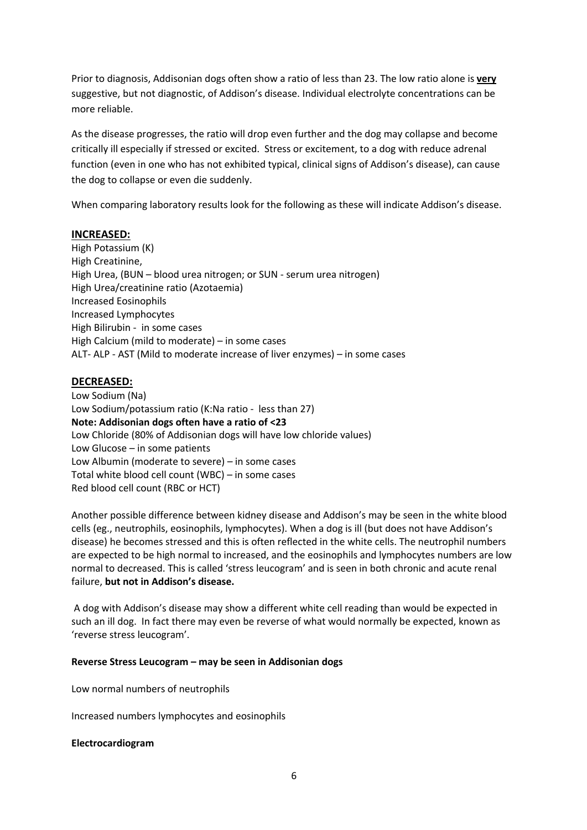Prior to diagnosis, Addisonian dogs often show a ratio of less than 23. The low ratio alone is **very** suggestive, but not diagnostic, of Addison's disease. Individual electrolyte concentrations can be more reliable.

As the disease progresses, the ratio will drop even further and the dog may collapse and become critically ill especially if stressed or excited. Stress or excitement, to a dog with reduce adrenal function (even in one who has not exhibited typical, clinical signs of Addison's disease), can cause the dog to collapse or even die suddenly.

When comparing laboratory results look for the following as these will indicate Addison's disease.

#### **INCREASED:**

High Potassium (K) High Creatinine, High Urea, (BUN – blood urea nitrogen; or SUN - serum urea nitrogen) High Urea/creatinine ratio (Azotaemia) Increased Eosinophils Increased Lymphocytes High Bilirubin - in some cases High Calcium (mild to moderate) – in some cases ALT- ALP - AST (Mild to moderate increase of liver enzymes) – in some cases

#### **DECREASED:**

Low Sodium (Na) Low Sodium/potassium ratio (K:Na ratio - less than 27) **Note: Addisonian dogs often have a ratio of <23** Low Chloride (80% of Addisonian dogs will have low chloride values) Low Glucose – in some patients Low Albumin (moderate to severe) – in some cases Total white blood cell count (WBC) – in some cases Red blood cell count (RBC or HCT)

Another possible difference between kidney disease and Addison's may be seen in the white blood cells (eg., neutrophils, eosinophils, lymphocytes). When a dog is ill (but does not have Addison's disease) he becomes stressed and this is often reflected in the white cells. The neutrophil numbers are expected to be high normal to increased, and the eosinophils and lymphocytes numbers are low normal to decreased. This is called 'stress leucogram' and is seen in both chronic and acute renal failure, **but not in Addison's disease.**

A dog with Addison's disease may show a different white cell reading than would be expected in such an ill dog. In fact there may even be reverse of what would normally be expected, known as 'reverse stress leucogram'.

#### **Reverse Stress Leucogram – may be seen in Addisonian dogs**

Low normal numbers of neutrophils

Increased numbers lymphocytes and eosinophils

#### **Electrocardiogram**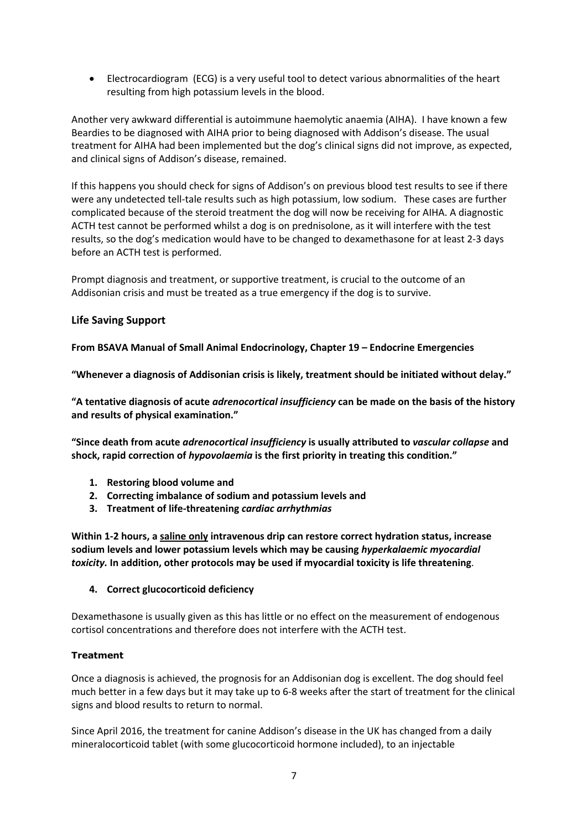• Electrocardiogram (ECG) is a very useful tool to detect various abnormalities of the heart resulting from high potassium levels in the blood.

Another very awkward differential is autoimmune haemolytic anaemia (AIHA). I have known a few Beardies to be diagnosed with AIHA prior to being diagnosed with Addison's disease. The usual treatment for AIHA had been implemented but the dog's clinical signs did not improve, as expected, and clinical signs of Addison's disease, remained.

If this happens you should check for signs of Addison's on previous blood test results to see if there were any undetected tell-tale results such as high potassium, low sodium. These cases are further complicated because of the steroid treatment the dog will now be receiving for AIHA. A diagnostic ACTH test cannot be performed whilst a dog is on prednisolone, as it will interfere with the test results, so the dog's medication would have to be changed to dexamethasone for at least 2-3 days before an ACTH test is performed.

Prompt diagnosis and treatment, or supportive treatment, is crucial to the outcome of an Addisonian crisis and must be treated as a true emergency if the dog is to survive.

## **Life Saving Support**

**From BSAVA Manual of Small Animal Endocrinology, Chapter 19 – Endocrine Emergencies** 

**"Whenever a diagnosis of Addisonian crisis is likely, treatment should be initiated without delay."** 

**"A tentative diagnosis of acute** *adrenocortical insufficiency* **can be made on the basis of the history and results of physical examination."** 

**"Since death from acute** *adrenocortical insufficiency* **is usually attributed to** *vascular collapse* **and shock, rapid correction of** *hypovolaemia* **is the first priority in treating this condition."**

- **1. Restoring blood volume and**
- **2. Correcting imbalance of sodium and potassium levels and**
- **3. Treatment of life-threatening** *cardiac arrhythmias*

**Within 1-2 hours, a saline only intravenous drip can restore correct hydration status, increase sodium levels and lower potassium levels which may be causing** *hyperkalaemic myocardial toxicity.* **In addition, other protocols may be used if myocardial toxicity is life threatening**.

#### **4. Correct glucocorticoid deficiency**

Dexamethasone is usually given as this has little or no effect on the measurement of endogenous cortisol concentrations and therefore does not interfere with the ACTH test.

#### **Treatment**

Once a diagnosis is achieved, the prognosis for an Addisonian dog is excellent. The dog should feel much better in a few days but it may take up to 6-8 weeks after the start of treatment for the clinical signs and blood results to return to normal.

Since April 2016, the treatment for canine Addison's disease in the UK has changed from a daily mineralocorticoid tablet (with some glucocorticoid hormone included), to an injectable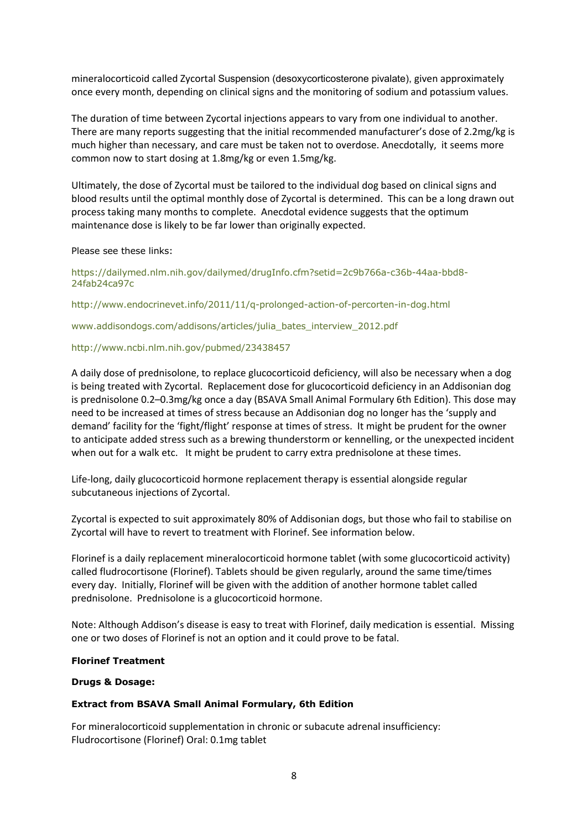mineralocorticoid called Zycortal Suspension (desoxycorticosterone pivalate), given approximately once every month, depending on clinical signs and the monitoring of sodium and potassium values.

The duration of time between Zycortal injections appears to vary from one individual to another. There are many reports suggesting that the initial recommended manufacturer's dose of 2.2mg/kg is much higher than necessary, and care must be taken not to overdose. Anecdotally, it seems more common now to start dosing at 1.8mg/kg or even 1.5mg/kg.

Ultimately, the dose of Zycortal must be tailored to the individual dog based on clinical signs and blood results until the optimal monthly dose of Zycortal is determined. This can be a long drawn out process taking many months to complete. Anecdotal evidence suggests that the optimum maintenance dose is likely to be far lower than originally expected.

Please see these links:

https://dailymed.nlm.nih.gov/dailymed/drugInfo.cfm?setid=2c9b766a-c36b-44aa-bbd8- 24fab24ca97c

http://www.endocrinevet.info/2011/11/q-prolonged-action-of-percorten-in-dog.html

www.addisondogs.com/addisons/articles/julia\_bates\_interview\_2012.pdf

#### http://www.ncbi.nlm.nih.gov/pubmed/23438457

A daily dose of prednisolone, to replace glucocorticoid deficiency, will also be necessary when a dog is being treated with Zycortal. Replacement dose for glucocorticoid deficiency in an Addisonian dog is prednisolone 0.2–0.3mg/kg once a day (BSAVA Small Animal Formulary 6th Edition). This dose may need to be increased at times of stress because an Addisonian dog no longer has the 'supply and demand' facility for the 'fight/flight' response at times of stress. It might be prudent for the owner to anticipate added stress such as a brewing thunderstorm or kennelling, or the unexpected incident when out for a walk etc. It might be prudent to carry extra prednisolone at these times.

Life-long, daily glucocorticoid hormone replacement therapy is essential alongside regular subcutaneous injections of Zycortal.

Zycortal is expected to suit approximately 80% of Addisonian dogs, but those who fail to stabilise on Zycortal will have to revert to treatment with Florinef. See information below.

Florinef is a daily replacement mineralocorticoid hormone tablet (with some glucocorticoid activity) called fludrocortisone (Florinef). Tablets should be given regularly, around the same time/times every day. Initially, Florinef will be given with the addition of another hormone tablet called prednisolone. Prednisolone is a glucocorticoid hormone.

Note: Although Addison's disease is easy to treat with Florinef, daily medication is essential. Missing one or two doses of Florinef is not an option and it could prove to be fatal.

#### **Florinef Treatment**

#### **Drugs & Dosage:**

#### **Extract from BSAVA Small Animal Formulary, 6th Edition**

For mineralocorticoid supplementation in chronic or subacute adrenal insufficiency: Fludrocortisone (Florinef) Oral: 0.1mg tablet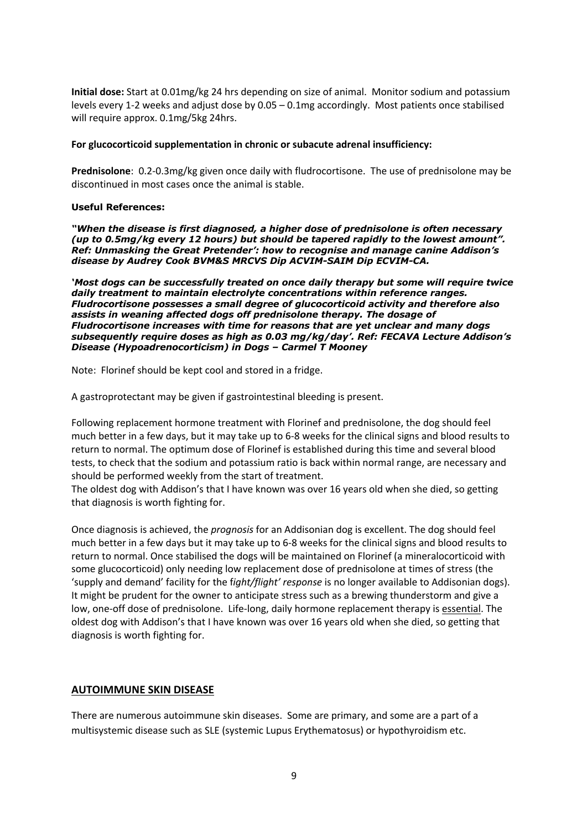**Initial dose:** Start at 0.01mg/kg 24 hrs depending on size of animal. Monitor sodium and potassium levels every 1-2 weeks and adjust dose by 0.05 – 0.1mg accordingly. Most patients once stabilised will require approx. 0.1mg/5kg 24hrs.

#### **For glucocorticoid supplementation in chronic or subacute adrenal insufficiency:**

**Prednisolone**: 0.2-0.3mg/kg given once daily with fludrocortisone. The use of prednisolone may be discontinued in most cases once the animal is stable.

#### **Useful References:**

*"When the disease is first diagnosed, a higher dose of prednisolone is often necessary (up to 0.5mg/kg every 12 hours) but should be tapered rapidly to the lowest amount". Ref: Unmasking the Great Pretender': how to recognise and manage canine Addison's disease by Audrey Cook BVM&S MRCVS Dip ACVIM-SAIM Dip ECVIM-CA.* 

*'Most dogs can be successfully treated on once daily therapy but some will require twice daily treatment to maintain electrolyte concentrations within reference ranges. Fludrocortisone possesses a small degree of glucocorticoid activity and therefore also assists in weaning affected dogs off prednisolone therapy. The dosage of Fludrocortisone increases with time for reasons that are yet unclear and many dogs subsequently require doses as high as 0.03 mg/kg/day'. Ref: FECAVA Lecture Addison's Disease (Hypoadrenocorticism) in Dogs – Carmel T Mooney*

Note: Florinef should be kept cool and stored in a fridge.

A gastroprotectant may be given if gastrointestinal bleeding is present.

Following replacement hormone treatment with Florinef and prednisolone, the dog should feel much better in a few days, but it may take up to 6-8 weeks for the clinical signs and blood results to return to normal. The optimum dose of Florinef is established during this time and several blood tests, to check that the sodium and potassium ratio is back within normal range, are necessary and should be performed weekly from the start of treatment.

The oldest dog with Addison's that I have known was over 16 years old when she died, so getting that diagnosis is worth fighting for.

Once diagnosis is achieved, the *prognosis* for an Addisonian dog is excellent. The dog should feel much better in a few days but it may take up to 6-8 weeks for the clinical signs and blood results to return to normal. Once stabilised the dogs will be maintained on Florinef (a mineralocorticoid with some glucocorticoid) only needing low replacement dose of prednisolone at times of stress (the 'supply and demand' facility for the f*ight/flight' response* is no longer available to Addisonian dogs). It might be prudent for the owner to anticipate stress such as a brewing thunderstorm and give a low, one-off dose of prednisolone. Life-long, daily hormone replacement therapy is essential. The oldest dog with Addison's that I have known was over 16 years old when she died, so getting that diagnosis is worth fighting for.

#### **AUTOIMMUNE SKIN DISEASE**

There are numerous autoimmune skin diseases. Some are primary, and some are a part of a multisystemic disease such as SLE (systemic Lupus Erythematosus) or hypothyroidism etc.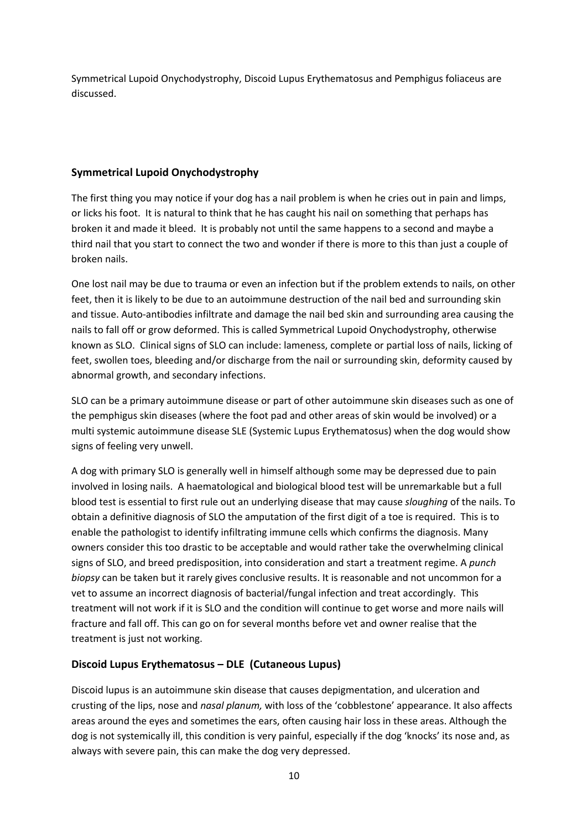Symmetrical Lupoid Onychodystrophy, Discoid Lupus Erythematosus and Pemphigus foliaceus are discussed.

# **Symmetrical Lupoid Onychodystrophy**

The first thing you may notice if your dog has a nail problem is when he cries out in pain and limps, or licks his foot. It is natural to think that he has caught his nail on something that perhaps has broken it and made it bleed. It is probably not until the same happens to a second and maybe a third nail that you start to connect the two and wonder if there is more to this than just a couple of broken nails.

One lost nail may be due to trauma or even an infection but if the problem extends to nails, on other feet, then it is likely to be due to an autoimmune destruction of the nail bed and surrounding skin and tissue. Auto-antibodies infiltrate and damage the nail bed skin and surrounding area causing the nails to fall off or grow deformed. This is called Symmetrical Lupoid Onychodystrophy, otherwise known as SLO. Clinical signs of SLO can include: lameness, complete or partial loss of nails, licking of feet, swollen toes, bleeding and/or discharge from the nail or surrounding skin, deformity caused by abnormal growth, and secondary infections.

SLO can be a primary autoimmune disease or part of other autoimmune skin diseases such as one of the pemphigus skin diseases (where the foot pad and other areas of skin would be involved) or a multi systemic autoimmune disease SLE (Systemic Lupus Erythematosus) when the dog would show signs of feeling very unwell.

A dog with primary SLO is generally well in himself although some may be depressed due to pain involved in losing nails. A haematological and biological blood test will be unremarkable but a full blood test is essential to first rule out an underlying disease that may cause *sloughing* of the nails. To obtain a definitive diagnosis of SLO the amputation of the first digit of a toe is required. This is to enable the pathologist to identify infiltrating immune cells which confirms the diagnosis. Many owners consider this too drastic to be acceptable and would rather take the overwhelming clinical signs of SLO, and breed predisposition, into consideration and start a treatment regime. A *punch biopsy* can be taken but it rarely gives conclusive results. It is reasonable and not uncommon for a vet to assume an incorrect diagnosis of bacterial/fungal infection and treat accordingly. This treatment will not work if it is SLO and the condition will continue to get worse and more nails will fracture and fall off. This can go on for several months before vet and owner realise that the treatment is just not working.

# **Discoid Lupus Erythematosus – DLE (Cutaneous Lupus)**

Discoid lupus is an autoimmune skin disease that causes depigmentation, and ulceration and crusting of the lips, nose and *nasal planum,* with loss of the 'cobblestone' appearance. It also affects areas around the eyes and sometimes the ears, often causing hair loss in these areas. Although the dog is not systemically ill, this condition is very painful, especially if the dog 'knocks' its nose and, as always with severe pain, this can make the dog very depressed.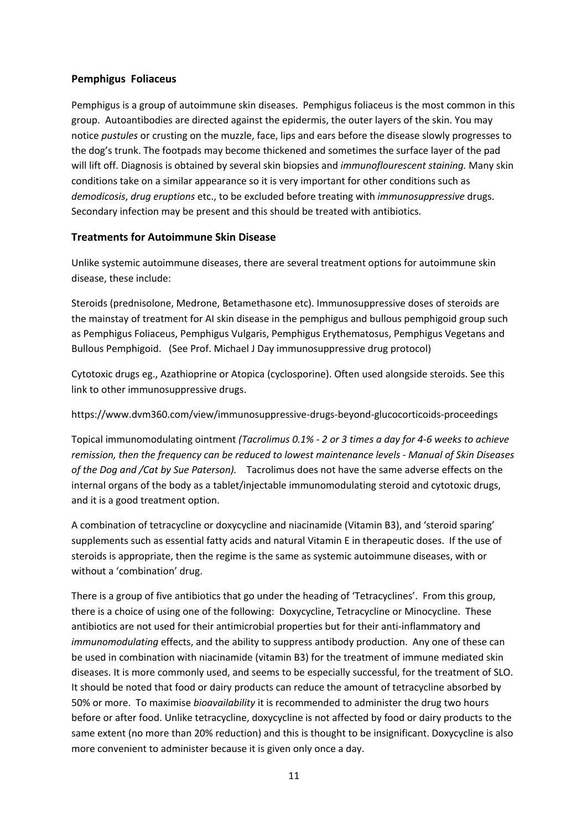# **Pemphigus Foliaceus**

Pemphigus is a group of autoimmune skin diseases. Pemphigus foliaceus is the most common in this group. Autoantibodies are directed against the epidermis, the outer layers of the skin. You may notice *pustules* or crusting on the muzzle, face, lips and ears before the disease slowly progresses to the dog's trunk. The footpads may become thickened and sometimes the surface layer of the pad will lift off. Diagnosis is obtained by several skin biopsies and *immunoflourescent staining.* Many skin conditions take on a similar appearance so it is very important for other conditions such as *demodicosis*, *drug eruptions* etc., to be excluded before treating with *immunosuppressive* drugs. Secondary infection may be present and this should be treated with antibiotics.

# **Treatments for Autoimmune Skin Disease**

Unlike systemic autoimmune diseases, there are several treatment options for autoimmune skin disease, these include:

Steroids (prednisolone, Medrone, Betamethasone etc). Immunosuppressive doses of steroids are the mainstay of treatment for AI skin disease in the pemphigus and bullous pemphigoid group such as Pemphigus Foliaceus, Pemphigus Vulgaris, Pemphigus Erythematosus, Pemphigus Vegetans and Bullous Pemphigoid. (See Prof. Michael J Day immunosuppressive drug protocol)

Cytotoxic drugs eg., Azathioprine or Atopica (cyclosporine). Often used alongside steroids. See this link to other immunosuppressive drugs.

https://www.dvm360.com/view/immunosuppressive-drugs-beyond-glucocorticoids-proceedings

Topical immunomodulating ointment *(Tacrolimus 0.1% - 2 or 3 times a day for 4-6 weeks to achieve remission, then the frequency can be reduced to lowest maintenance levels - Manual of Skin Diseases of the Dog and /Cat by Sue Paterson).* Tacrolimus does not have the same adverse effects on the internal organs of the body as a tablet/injectable immunomodulating steroid and cytotoxic drugs, and it is a good treatment option.

A combination of tetracycline or doxycycline and niacinamide (Vitamin B3), and 'steroid sparing' supplements such as essential fatty acids and natural Vitamin E in therapeutic doses. If the use of steroids is appropriate, then the regime is the same as systemic autoimmune diseases, with or without a 'combination' drug.

There is a group of five antibiotics that go under the heading of 'Tetracyclines'. From this group, there is a choice of using one of the following: Doxycycline, Tetracycline or Minocycline. These antibiotics are not used for their antimicrobial properties but for their anti-inflammatory and *immunomodulating* effects, and the ability to suppress antibody production. Any one of these can be used in combination with niacinamide (vitamin B3) for the treatment of immune mediated skin diseases. It is more commonly used, and seems to be especially successful, for the treatment of SLO. It should be noted that food or dairy products can reduce the amount of tetracycline absorbed by 50% or more. To maximise *bioavailability* it is recommended to administer the drug two hours before or after food. Unlike tetracycline, doxycycline is not affected by food or dairy products to the same extent (no more than 20% reduction) and this is thought to be insignificant. Doxycycline is also more convenient to administer because it is given only once a day.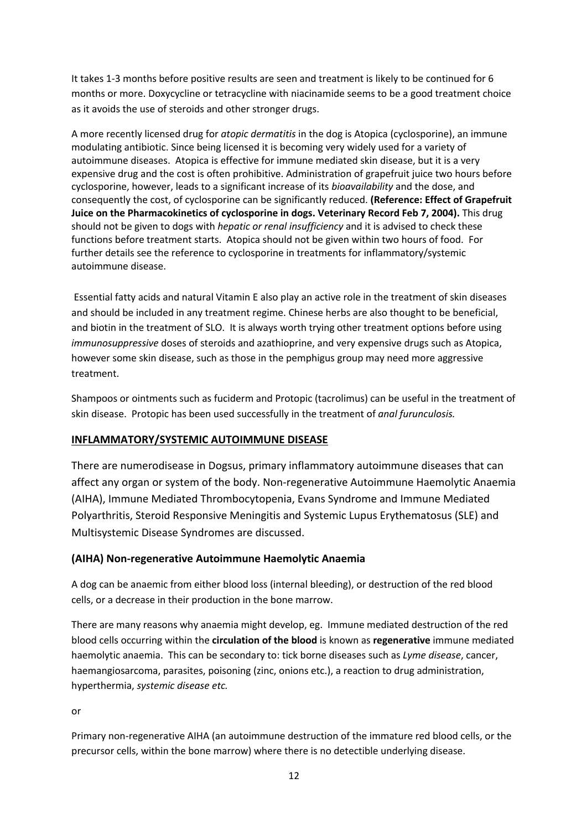It takes 1-3 months before positive results are seen and treatment is likely to be continued for 6 months or more. Doxycycline or tetracycline with niacinamide seems to be a good treatment choice as it avoids the use of steroids and other stronger drugs.

A more recently licensed drug for *atopic dermatitis* in the dog is Atopica (cyclosporine), an immune modulating antibiotic. Since being licensed it is becoming very widely used for a variety of autoimmune diseases. Atopica is effective for immune mediated skin disease, but it is a very expensive drug and the cost is often prohibitive. Administration of grapefruit juice two hours before cyclosporine, however, leads to a significant increase of its *bioavailability* and the dose, and consequently the cost, of cyclosporine can be significantly reduced. **(Reference: Effect of Grapefruit Juice on the Pharmacokinetics of cyclosporine in dogs. Veterinary Record Feb 7, 2004).** This drug should not be given to dogs with *hepatic or renal insufficiency* and it is advised to check these functions before treatment starts. Atopica should not be given within two hours of food. For further details see the reference to cyclosporine in treatments for inflammatory/systemic autoimmune disease.

Essential fatty acids and natural Vitamin E also play an active role in the treatment of skin diseases and should be included in any treatment regime. Chinese herbs are also thought to be beneficial, and biotin in the treatment of SLO. It is always worth trying other treatment options before using *immunosuppressive* doses of steroids and azathioprine, and very expensive drugs such as Atopica, however some skin disease, such as those in the pemphigus group may need more aggressive treatment.

Shampoos or ointments such as fuciderm and Protopic (tacrolimus) can be useful in the treatment of skin disease. Protopic has been used successfully in the treatment of *anal furunculosis.*

# **INFLAMMATORY/SYSTEMIC AUTOIMMUNE DISEASE**

There are numerodisease in Dogsus, primary inflammatory autoimmune diseases that can affect any organ or system of the body. Non-regenerative Autoimmune Haemolytic Anaemia (AIHA), Immune Mediated Thrombocytopenia, Evans Syndrome and Immune Mediated Polyarthritis, Steroid Responsive Meningitis and Systemic Lupus Erythematosus (SLE) and Multisystemic Disease Syndromes are discussed.

#### **(AIHA) Non-regenerative Autoimmune Haemolytic Anaemia**

A dog can be anaemic from either blood loss (internal bleeding), or destruction of the red blood cells, or a decrease in their production in the bone marrow.

There are many reasons why anaemia might develop, eg. Immune mediated destruction of the red blood cells occurring within the **circulation of the blood** is known as **regenerative** immune mediated haemolytic anaemia. This can be secondary to: tick borne diseases such as *Lyme disease*, cancer, haemangiosarcoma, parasites, poisoning (zinc, onions etc.), a reaction to drug administration, hyperthermia, *systemic disease etc.*

or

Primary non-regenerative AIHA (an autoimmune destruction of the immature red blood cells, or the precursor cells, within the bone marrow) where there is no detectible underlying disease.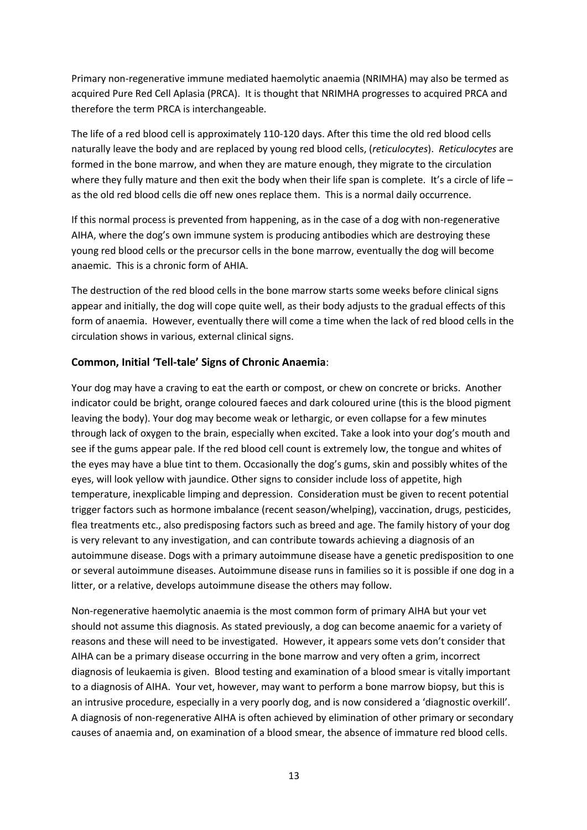Primary non-regenerative immune mediated haemolytic anaemia (NRIMHA) may also be termed as acquired Pure Red Cell Aplasia (PRCA). It is thought that NRIMHA progresses to acquired PRCA and therefore the term PRCA is interchangeable.

The life of a red blood cell is approximately 110-120 days. After this time the old red blood cells naturally leave the body and are replaced by young red blood cells, (*reticulocytes*). *Reticulocytes* are formed in the bone marrow, and when they are mature enough, they migrate to the circulation where they fully mature and then exit the body when their life span is complete. It's a circle of life – as the old red blood cells die off new ones replace them. This is a normal daily occurrence.

If this normal process is prevented from happening, as in the case of a dog with non-regenerative AIHA, where the dog's own immune system is producing antibodies which are destroying these young red blood cells or the precursor cells in the bone marrow, eventually the dog will become anaemic. This is a chronic form of AHIA.

The destruction of the red blood cells in the bone marrow starts some weeks before clinical signs appear and initially, the dog will cope quite well, as their body adjusts to the gradual effects of this form of anaemia. However, eventually there will come a time when the lack of red blood cells in the circulation shows in various, external clinical signs.

# **Common, Initial 'Tell-tale' Signs of Chronic Anaemia**:

Your dog may have a craving to eat the earth or compost, or chew on concrete or bricks. Another indicator could be bright, orange coloured faeces and dark coloured urine (this is the blood pigment leaving the body). Your dog may become weak or lethargic, or even collapse for a few minutes through lack of oxygen to the brain, especially when excited. Take a look into your dog's mouth and see if the gums appear pale. If the red blood cell count is extremely low, the tongue and whites of the eyes may have a blue tint to them. Occasionally the dog's gums, skin and possibly whites of the eyes, will look yellow with jaundice. Other signs to consider include loss of appetite, high temperature, inexplicable limping and depression. Consideration must be given to recent potential trigger factors such as hormone imbalance (recent season/whelping), vaccination, drugs, pesticides, flea treatments etc., also predisposing factors such as breed and age. The family history of your dog is very relevant to any investigation, and can contribute towards achieving a diagnosis of an autoimmune disease. Dogs with a primary autoimmune disease have a genetic predisposition to one or several autoimmune diseases. Autoimmune disease runs in families so it is possible if one dog in a litter, or a relative, develops autoimmune disease the others may follow.

Non-regenerative haemolytic anaemia is the most common form of primary AIHA but your vet should not assume this diagnosis. As stated previously, a dog can become anaemic for a variety of reasons and these will need to be investigated. However, it appears some vets don't consider that AIHA can be a primary disease occurring in the bone marrow and very often a grim, incorrect diagnosis of leukaemia is given. Blood testing and examination of a blood smear is vitally important to a diagnosis of AIHA. Your vet, however, may want to perform a bone marrow biopsy, but this is an intrusive procedure, especially in a very poorly dog, and is now considered a 'diagnostic overkill'. A diagnosis of non-regenerative AIHA is often achieved by elimination of other primary or secondary causes of anaemia and, on examination of a blood smear, the absence of immature red blood cells.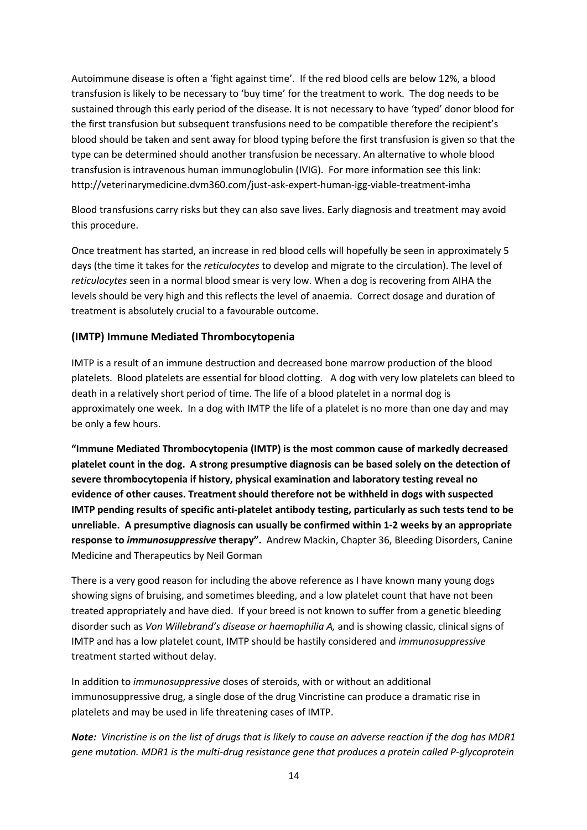Autoimmune disease is often a 'fight against time'. If the red blood cells are below 12%, a blood transfusion is likely to be necessary to 'buy time' for the treatment to work. The dog needs to be sustained through this early period of the disease. It is not necessary to have 'typed' donor blood for the first transfusion but subsequent transfusions need to be compatible therefore the recipient's blood should be taken and sent away for blood typing before the first transfusion is given so that the type can be determined should another transfusion be necessary. An alternative to whole blood transfusion is intravenous human immunoglobulin (IVIG). For more information see this link: http://veterinarymedicine.dvm360.com/just-ask-expert-human-igg-viable-treatment-imha

Blood transfusions carry risks but they can also save lives. Early diagnosis and treatment may avoid this procedure.

Once treatment has started, an increase in red blood cells will hopefully be seen in approximately 5 days (the time it takes for the *reticulocytes* to develop and migrate to the circulation). The level of *reticulocytes* seen in a normal blood smear is very low. When a dog is recovering from AIHA the levels should be very high and this reflects the level of anaemia. Correct dosage and duration of treatment is absolutely crucial to a favourable outcome.

# **(IMTP) Immune Mediated Thrombocytopenia**

IMTP is a result of an immune destruction and decreased bone marrow production of the blood platelets. Blood platelets are essential for blood clotting. A dog with very low platelets can bleed to death in a relatively short period of time. The life of a blood platelet in a normal dog is approximately one week. In a dog with IMTP the life of a platelet is no more than one day and may be only a few hours.

**"Immune Mediated Thrombocytopenia (IMTP) is the most common cause of markedly decreased platelet count in the dog. A strong presumptive diagnosis can be based solely on the detection of severe thrombocytopenia if history, physical examination and laboratory testing reveal no evidence of other causes. Treatment should therefore not be withheld in dogs with suspected IMTP pending results of specific anti-platelet antibody testing, particularly as such tests tend to be unreliable. A presumptive diagnosis can usually be confirmed within 1-2 weeks by an appropriate response to** *immunosuppressive* **therapy".** Andrew Mackin, Chapter 36, Bleeding Disorders, Canine Medicine and Therapeutics by Neil Gorman

There is a very good reason for including the above reference as I have known many young dogs showing signs of bruising, and sometimes bleeding, and a low platelet count that have not been treated appropriately and have died. If your breed is not known to suffer from a genetic bleeding disorder such as *Von Willebrand's disease or haemophilia A,* and is showing classic, clinical signs of IMTP and has a low platelet count, IMTP should be hastily considered and *immunosuppressive* treatment started without delay.

In addition to *immunosuppressive* doses of steroids, with or without an additional immunosuppressive drug, a single dose of the drug Vincristine can produce a dramatic rise in platelets and may be used in life threatening cases of IMTP.

*Note: Vincristine is on the list of drugs that is likely to cause an adverse reaction if the dog has MDR1 gene mutation. MDR1 is the multi-drug resistance gene that produces a protein called P-glycoprotein*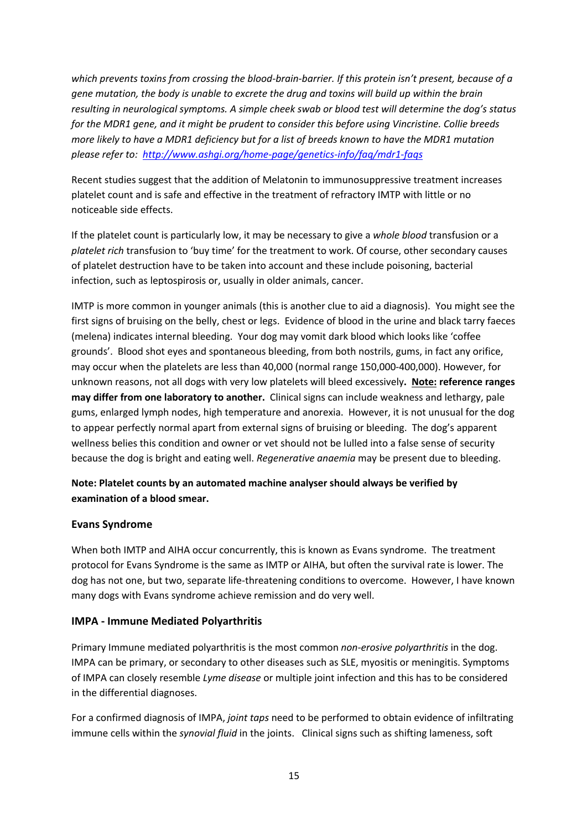*which prevents toxins from crossing the blood-brain-barrier. If this protein isn't present, because of a gene mutation, the body is unable to excrete the drug and toxins will build up within the brain resulting in neurological symptoms. A simple cheek swab or blood test will determine the dog's status for the MDR1 gene, and it might be prudent to consider this before using Vincristine. Collie breeds more likely to have a MDR1 deficiency but for a list of breeds known to have the MDR1 mutation please refer to: http://www.ashgi.org/home-page/genetics-info/faq/mdr1-faqs*

Recent studies suggest that the addition of Melatonin to immunosuppressive treatment increases platelet count and is safe and effective in the treatment of refractory IMTP with little or no noticeable side effects.

If the platelet count is particularly low, it may be necessary to give a *whole blood* transfusion or a *platelet rich* transfusion to 'buy time' for the treatment to work. Of course, other secondary causes of platelet destruction have to be taken into account and these include poisoning, bacterial infection, such as leptospirosis or, usually in older animals, cancer.

IMTP is more common in younger animals (this is another clue to aid a diagnosis). You might see the first signs of bruising on the belly, chest or legs. Evidence of blood in the urine and black tarry faeces (melena) indicates internal bleeding. Your dog may vomit dark blood which looks like 'coffee grounds'. Blood shot eyes and spontaneous bleeding, from both nostrils, gums, in fact any orifice, may occur when the platelets are less than 40,000 (normal range 150,000-400,000). However, for unknown reasons, not all dogs with very low platelets will bleed excessively**. Note: reference ranges may differ from one laboratory to another.** Clinical signs can include weakness and lethargy, pale gums, enlarged lymph nodes, high temperature and anorexia. However, it is not unusual for the dog to appear perfectly normal apart from external signs of bruising or bleeding. The dog's apparent wellness belies this condition and owner or vet should not be lulled into a false sense of security because the dog is bright and eating well. *Regenerative anaemia* may be present due to bleeding.

# **Note: Platelet counts by an automated machine analyser should always be verified by examination of a blood smear.**

# **Evans Syndrome**

When both IMTP and AIHA occur concurrently, this is known as Evans syndrome. The treatment protocol for Evans Syndrome is the same as IMTP or AIHA, but often the survival rate is lower. The dog has not one, but two, separate life-threatening conditions to overcome. However, I have known many dogs with Evans syndrome achieve remission and do very well.

# **IMPA - Immune Mediated Polyarthritis**

Primary Immune mediated polyarthritis is the most common *non-erosive polyarthritis* in the dog. IMPA can be primary, or secondary to other diseases such as SLE, myositis or meningitis. Symptoms of IMPA can closely resemble *Lyme disease* or multiple joint infection and this has to be considered in the differential diagnoses.

For a confirmed diagnosis of IMPA, *joint taps* need to be performed to obtain evidence of infiltrating immune cells within the *synovial fluid* in the joints. Clinical signs such as shifting lameness, soft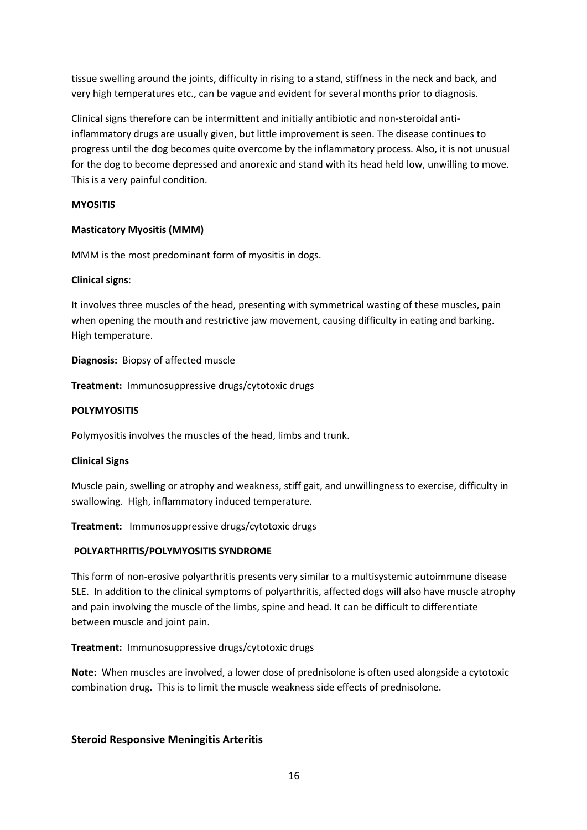tissue swelling around the joints, difficulty in rising to a stand, stiffness in the neck and back, and very high temperatures etc., can be vague and evident for several months prior to diagnosis.

Clinical signs therefore can be intermittent and initially antibiotic and non-steroidal antiinflammatory drugs are usually given, but little improvement is seen. The disease continues to progress until the dog becomes quite overcome by the inflammatory process. Also, it is not unusual for the dog to become depressed and anorexic and stand with its head held low, unwilling to move. This is a very painful condition.

#### **MYOSITIS**

#### **Masticatory Myositis (MMM)**

MMM is the most predominant form of myositis in dogs.

#### **Clinical signs**:

It involves three muscles of the head, presenting with symmetrical wasting of these muscles, pain when opening the mouth and restrictive jaw movement, causing difficulty in eating and barking. High temperature.

**Diagnosis:** Biopsy of affected muscle

**Treatment:** Immunosuppressive drugs/cytotoxic drugs

#### **POLYMYOSITIS**

Polymyositis involves the muscles of the head, limbs and trunk.

#### **Clinical Signs**

Muscle pain, swelling or atrophy and weakness, stiff gait, and unwillingness to exercise, difficulty in swallowing. High, inflammatory induced temperature.

**Treatment:** Immunosuppressive drugs/cytotoxic drugs

#### **POLYARTHRITIS/POLYMYOSITIS SYNDROME**

This form of non-erosive polyarthritis presents very similar to a multisystemic autoimmune disease SLE. In addition to the clinical symptoms of polyarthritis, affected dogs will also have muscle atrophy and pain involving the muscle of the limbs, spine and head. It can be difficult to differentiate between muscle and joint pain.

#### **Treatment:** Immunosuppressive drugs/cytotoxic drugs

**Note:** When muscles are involved, a lower dose of prednisolone is often used alongside a cytotoxic combination drug. This is to limit the muscle weakness side effects of prednisolone.

#### **Steroid Responsive Meningitis Arteritis**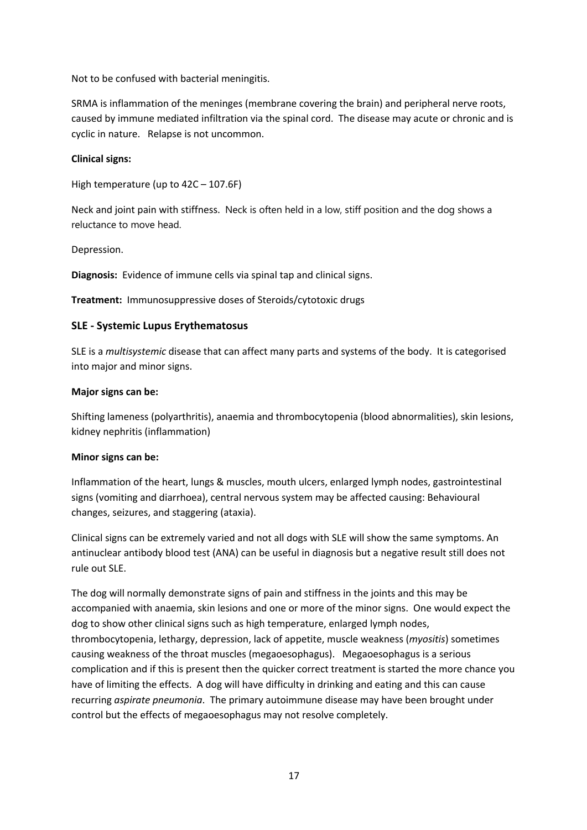Not to be confused with bacterial meningitis.

SRMA is inflammation of the meninges (membrane covering the brain) and peripheral nerve roots, caused by immune mediated infiltration via the spinal cord. The disease may acute or chronic and is cyclic in nature. Relapse is not uncommon.

## **Clinical signs:**

High temperature (up to 42C – 107.6F)

Neck and joint pain with stiffness. Neck is often held in a low, stiff position and the dog shows a reluctance to move head.

Depression.

**Diagnosis:** Evidence of immune cells via spinal tap and clinical signs.

**Treatment:** Immunosuppressive doses of Steroids/cytotoxic drugs

## **SLE - Systemic Lupus Erythematosus**

SLE is a *multisystemic* disease that can affect many parts and systems of the body. It is categorised into major and minor signs.

#### **Major signs can be:**

Shifting lameness (polyarthritis), anaemia and thrombocytopenia (blood abnormalities), skin lesions, kidney nephritis (inflammation)

#### **Minor signs can be:**

Inflammation of the heart, lungs & muscles, mouth ulcers, enlarged lymph nodes, gastrointestinal signs (vomiting and diarrhoea), central nervous system may be affected causing: Behavioural changes, seizures, and staggering (ataxia).

Clinical signs can be extremely varied and not all dogs with SLE will show the same symptoms. An antinuclear antibody blood test (ANA) can be useful in diagnosis but a negative result still does not rule out SLE.

The dog will normally demonstrate signs of pain and stiffness in the joints and this may be accompanied with anaemia, skin lesions and one or more of the minor signs. One would expect the dog to show other clinical signs such as high temperature, enlarged lymph nodes, thrombocytopenia, lethargy, depression, lack of appetite, muscle weakness (*myositis*) sometimes causing weakness of the throat muscles (megaoesophagus). Megaoesophagus is a serious complication and if this is present then the quicker correct treatment is started the more chance you have of limiting the effects. A dog will have difficulty in drinking and eating and this can cause recurring *aspirate pneumonia*. The primary autoimmune disease may have been brought under control but the effects of megaoesophagus may not resolve completely.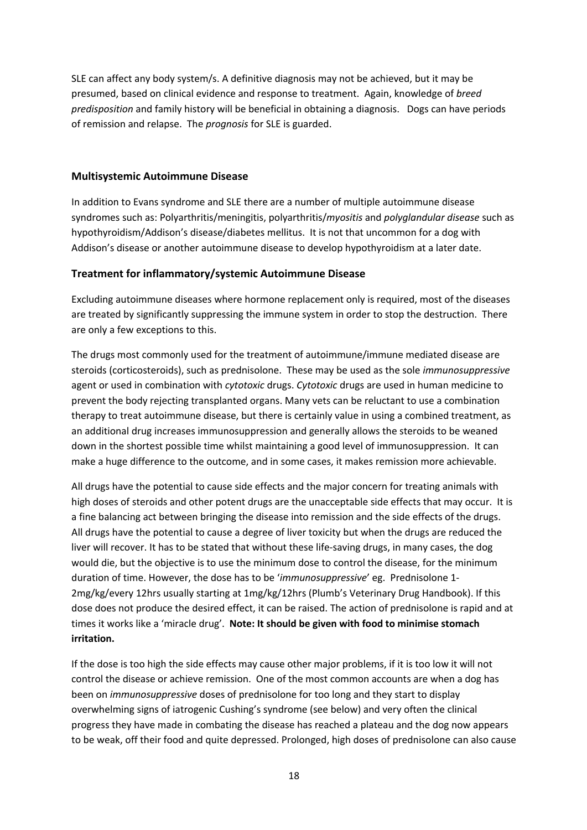SLE can affect any body system/s. A definitive diagnosis may not be achieved, but it may be presumed, based on clinical evidence and response to treatment. Again, knowledge of *breed predisposition* and family history will be beneficial in obtaining a diagnosis. Dogs can have periods of remission and relapse. The *prognosis* for SLE is guarded.

## **Multisystemic Autoimmune Disease**

In addition to Evans syndrome and SLE there are a number of multiple autoimmune disease syndromes such as: Polyarthritis/meningitis, polyarthritis/*myositis* and *polyglandular disease* such as hypothyroidism/Addison's disease/diabetes mellitus. It is not that uncommon for a dog with Addison's disease or another autoimmune disease to develop hypothyroidism at a later date.

## **Treatment for inflammatory/systemic Autoimmune Disease**

Excluding autoimmune diseases where hormone replacement only is required, most of the diseases are treated by significantly suppressing the immune system in order to stop the destruction. There are only a few exceptions to this.

The drugs most commonly used for the treatment of autoimmune/immune mediated disease are steroids (corticosteroids), such as prednisolone. These may be used as the sole *immunosuppressive* agent or used in combination with *cytotoxic* drugs. *Cytotoxic* drugs are used in human medicine to prevent the body rejecting transplanted organs. Many vets can be reluctant to use a combination therapy to treat autoimmune disease, but there is certainly value in using a combined treatment, as an additional drug increases immunosuppression and generally allows the steroids to be weaned down in the shortest possible time whilst maintaining a good level of immunosuppression. It can make a huge difference to the outcome, and in some cases, it makes remission more achievable.

All drugs have the potential to cause side effects and the major concern for treating animals with high doses of steroids and other potent drugs are the unacceptable side effects that may occur. It is a fine balancing act between bringing the disease into remission and the side effects of the drugs. All drugs have the potential to cause a degree of liver toxicity but when the drugs are reduced the liver will recover. It has to be stated that without these life-saving drugs, in many cases, the dog would die, but the objective is to use the minimum dose to control the disease, for the minimum duration of time. However, the dose has to be '*immunosuppressive*' eg. Prednisolone 1- 2mg/kg/every 12hrs usually starting at 1mg/kg/12hrs (Plumb's Veterinary Drug Handbook). If this dose does not produce the desired effect, it can be raised. The action of prednisolone is rapid and at times it works like a 'miracle drug'. **Note: It should be given with food to minimise stomach irritation.**

If the dose is too high the side effects may cause other major problems, if it is too low it will not control the disease or achieve remission. One of the most common accounts are when a dog has been on *immunosuppressive* doses of prednisolone for too long and they start to display overwhelming signs of iatrogenic Cushing's syndrome (see below) and very often the clinical progress they have made in combating the disease has reached a plateau and the dog now appears to be weak, off their food and quite depressed. Prolonged, high doses of prednisolone can also cause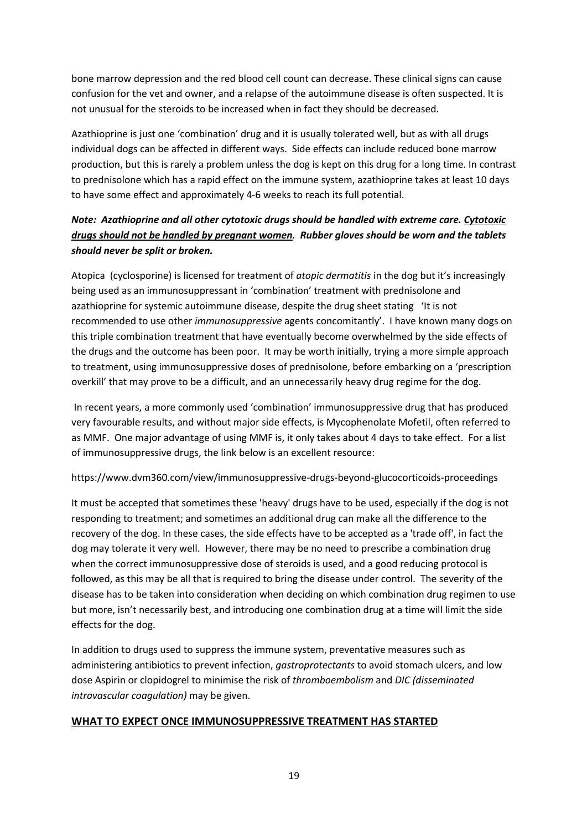bone marrow depression and the red blood cell count can decrease. These clinical signs can cause confusion for the vet and owner, and a relapse of the autoimmune disease is often suspected. It is not unusual for the steroids to be increased when in fact they should be decreased.

Azathioprine is just one 'combination' drug and it is usually tolerated well, but as with all drugs individual dogs can be affected in different ways. Side effects can include reduced bone marrow production, but this is rarely a problem unless the dog is kept on this drug for a long time. In contrast to prednisolone which has a rapid effect on the immune system, azathioprine takes at least 10 days to have some effect and approximately 4-6 weeks to reach its full potential.

# *Note: Azathioprine and all other cytotoxic drugs should be handled with extreme care. Cytotoxic drugs should not be handled by pregnant women. Rubber gloves should be worn and the tablets should never be split or broken.*

Atopica (cyclosporine) is licensed for treatment of *atopic dermatitis* in the dog but it's increasingly being used as an immunosuppressant in 'combination' treatment with prednisolone and azathioprine for systemic autoimmune disease, despite the drug sheet stating 'It is not recommended to use other *immunosuppressive* agents concomitantly'. I have known many dogs on this triple combination treatment that have eventually become overwhelmed by the side effects of the drugs and the outcome has been poor. It may be worth initially, trying a more simple approach to treatment, using immunosuppressive doses of prednisolone, before embarking on a 'prescription overkill' that may prove to be a difficult, and an unnecessarily heavy drug regime for the dog.

In recent years, a more commonly used 'combination' immunosuppressive drug that has produced very favourable results, and without major side effects, is Mycophenolate Mofetil, often referred to as MMF. One major advantage of using MMF is, it only takes about 4 days to take effect. For a list of immunosuppressive drugs, the link below is an excellent resource:

# https://www.dvm360.com/view/immunosuppressive-drugs-beyond-glucocorticoids-proceedings

It must be accepted that sometimes these 'heavy' drugs have to be used, especially if the dog is not responding to treatment; and sometimes an additional drug can make all the difference to the recovery of the dog. In these cases, the side effects have to be accepted as a 'trade off', in fact the dog may tolerate it very well. However, there may be no need to prescribe a combination drug when the correct immunosuppressive dose of steroids is used, and a good reducing protocol is followed, as this may be all that is required to bring the disease under control. The severity of the disease has to be taken into consideration when deciding on which combination drug regimen to use but more, isn't necessarily best, and introducing one combination drug at a time will limit the side effects for the dog.

In addition to drugs used to suppress the immune system, preventative measures such as administering antibiotics to prevent infection, *gastroprotectants* to avoid stomach ulcers, and low dose Aspirin or clopidogrel to minimise the risk of *thromboembolism* and *DIC (disseminated intravascular coagulation)* may be given.

# **WHAT TO EXPECT ONCE IMMUNOSUPPRESSIVE TREATMENT HAS STARTED**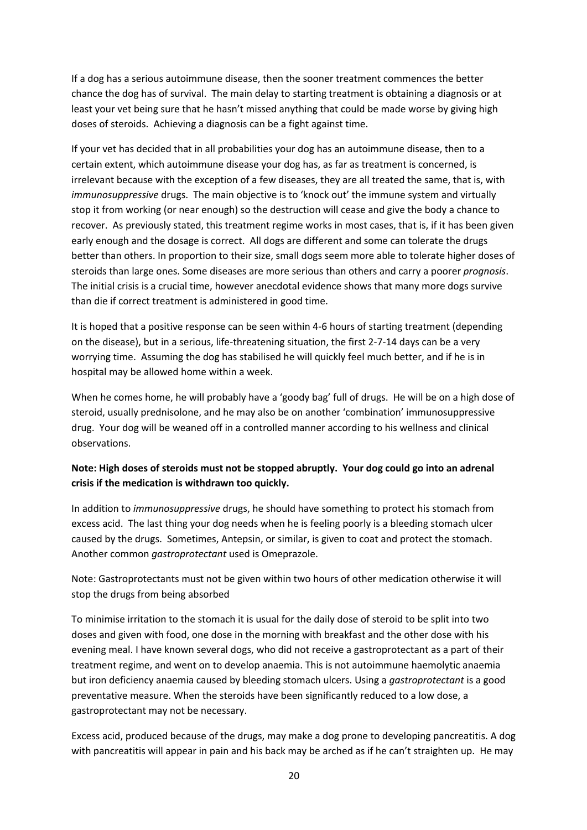If a dog has a serious autoimmune disease, then the sooner treatment commences the better chance the dog has of survival. The main delay to starting treatment is obtaining a diagnosis or at least your vet being sure that he hasn't missed anything that could be made worse by giving high doses of steroids. Achieving a diagnosis can be a fight against time.

If your vet has decided that in all probabilities your dog has an autoimmune disease, then to a certain extent, which autoimmune disease your dog has, as far as treatment is concerned, is irrelevant because with the exception of a few diseases, they are all treated the same, that is, with *immunosuppressive* drugs. The main objective is to 'knock out' the immune system and virtually stop it from working (or near enough) so the destruction will cease and give the body a chance to recover. As previously stated, this treatment regime works in most cases, that is, if it has been given early enough and the dosage is correct. All dogs are different and some can tolerate the drugs better than others. In proportion to their size, small dogs seem more able to tolerate higher doses of steroids than large ones. Some diseases are more serious than others and carry a poorer *prognosis*. The initial crisis is a crucial time, however anecdotal evidence shows that many more dogs survive than die if correct treatment is administered in good time.

It is hoped that a positive response can be seen within 4-6 hours of starting treatment (depending on the disease), but in a serious, life-threatening situation, the first 2-7-14 days can be a very worrying time. Assuming the dog has stabilised he will quickly feel much better, and if he is in hospital may be allowed home within a week.

When he comes home, he will probably have a 'goody bag' full of drugs. He will be on a high dose of steroid, usually prednisolone, and he may also be on another 'combination' immunosuppressive drug. Your dog will be weaned off in a controlled manner according to his wellness and clinical observations.

# **Note: High doses of steroids must not be stopped abruptly. Your dog could go into an adrenal crisis if the medication is withdrawn too quickly.**

In addition to *immunosuppressive* drugs, he should have something to protect his stomach from excess acid. The last thing your dog needs when he is feeling poorly is a bleeding stomach ulcer caused by the drugs. Sometimes, Antepsin, or similar, is given to coat and protect the stomach. Another common *gastroprotectant* used is Omeprazole.

Note: Gastroprotectants must not be given within two hours of other medication otherwise it will stop the drugs from being absorbed

To minimise irritation to the stomach it is usual for the daily dose of steroid to be split into two doses and given with food, one dose in the morning with breakfast and the other dose with his evening meal. I have known several dogs, who did not receive a gastroprotectant as a part of their treatment regime, and went on to develop anaemia. This is not autoimmune haemolytic anaemia but iron deficiency anaemia caused by bleeding stomach ulcers. Using a *gastroprotectant* is a good preventative measure. When the steroids have been significantly reduced to a low dose, a gastroprotectant may not be necessary.

Excess acid, produced because of the drugs, may make a dog prone to developing pancreatitis. A dog with pancreatitis will appear in pain and his back may be arched as if he can't straighten up. He may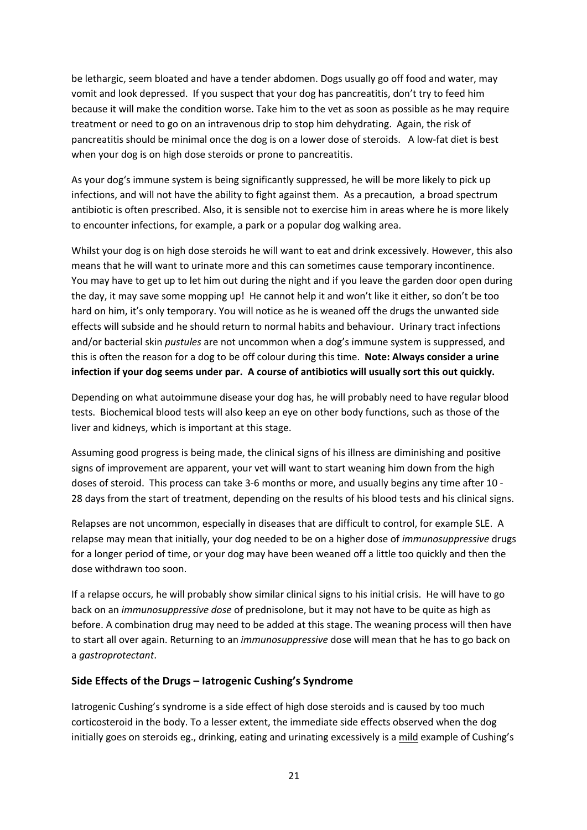be lethargic, seem bloated and have a tender abdomen. Dogs usually go off food and water, may vomit and look depressed. If you suspect that your dog has pancreatitis, don't try to feed him because it will make the condition worse. Take him to the vet as soon as possible as he may require treatment or need to go on an intravenous drip to stop him dehydrating. Again, the risk of pancreatitis should be minimal once the dog is on a lower dose of steroids. A low-fat diet is best when your dog is on high dose steroids or prone to pancreatitis.

As your dog's immune system is being significantly suppressed, he will be more likely to pick up infections, and will not have the ability to fight against them. As a precaution, a broad spectrum antibiotic is often prescribed. Also, it is sensible not to exercise him in areas where he is more likely to encounter infections, for example, a park or a popular dog walking area.

Whilst your dog is on high dose steroids he will want to eat and drink excessively. However, this also means that he will want to urinate more and this can sometimes cause temporary incontinence. You may have to get up to let him out during the night and if you leave the garden door open during the day, it may save some mopping up! He cannot help it and won't like it either, so don't be too hard on him, it's only temporary. You will notice as he is weaned off the drugs the unwanted side effects will subside and he should return to normal habits and behaviour. Urinary tract infections and/or bacterial skin *pustules* are not uncommon when a dog's immune system is suppressed, and this is often the reason for a dog to be off colour during this time. **Note: Always consider a urine infection if your dog seems under par. A course of antibiotics will usually sort this out quickly.**

Depending on what autoimmune disease your dog has, he will probably need to have regular blood tests. Biochemical blood tests will also keep an eye on other body functions, such as those of the liver and kidneys, which is important at this stage.

Assuming good progress is being made, the clinical signs of his illness are diminishing and positive signs of improvement are apparent, your vet will want to start weaning him down from the high doses of steroid. This process can take 3-6 months or more, and usually begins any time after 10 - 28 days from the start of treatment, depending on the results of his blood tests and his clinical signs.

Relapses are not uncommon, especially in diseases that are difficult to control, for example SLE. A relapse may mean that initially, your dog needed to be on a higher dose of *immunosuppressive* drugs for a longer period of time, or your dog may have been weaned off a little too quickly and then the dose withdrawn too soon.

If a relapse occurs, he will probably show similar clinical signs to his initial crisis. He will have to go back on an *immunosuppressive dose* of prednisolone, but it may not have to be quite as high as before. A combination drug may need to be added at this stage. The weaning process will then have to start all over again. Returning to an *immunosuppressive* dose will mean that he has to go back on a *gastroprotectant*.

# **Side Effects of the Drugs – Iatrogenic Cushing's Syndrome**

Iatrogenic Cushing's syndrome is a side effect of high dose steroids and is caused by too much corticosteroid in the body. To a lesser extent, the immediate side effects observed when the dog initially goes on steroids eg., drinking, eating and urinating excessively is a mild example of Cushing's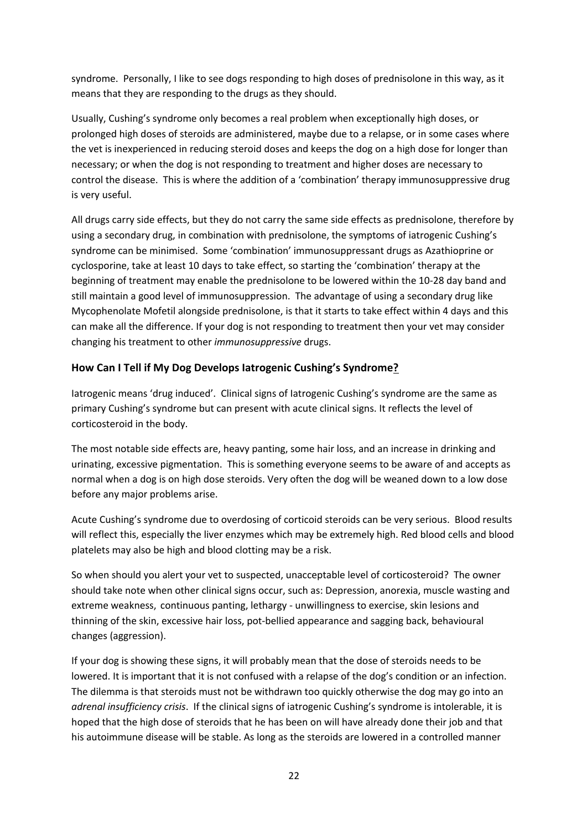syndrome. Personally, I like to see dogs responding to high doses of prednisolone in this way, as it means that they are responding to the drugs as they should.

Usually, Cushing's syndrome only becomes a real problem when exceptionally high doses, or prolonged high doses of steroids are administered, maybe due to a relapse, or in some cases where the vet is inexperienced in reducing steroid doses and keeps the dog on a high dose for longer than necessary; or when the dog is not responding to treatment and higher doses are necessary to control the disease. This is where the addition of a 'combination' therapy immunosuppressive drug is very useful.

All drugs carry side effects, but they do not carry the same side effects as prednisolone, therefore by using a secondary drug, in combination with prednisolone, the symptoms of iatrogenic Cushing's syndrome can be minimised. Some 'combination' immunosuppressant drugs as Azathioprine or cyclosporine, take at least 10 days to take effect, so starting the 'combination' therapy at the beginning of treatment may enable the prednisolone to be lowered within the 10-28 day band and still maintain a good level of immunosuppression. The advantage of using a secondary drug like Mycophenolate Mofetil alongside prednisolone, is that it starts to take effect within 4 days and this can make all the difference. If your dog is not responding to treatment then your vet may consider changing his treatment to other *immunosuppressive* drugs.

# **How Can I Tell if My Dog Develops Iatrogenic Cushing's Syndrome?**

Iatrogenic means 'drug induced'. Clinical signs of Iatrogenic Cushing's syndrome are the same as primary Cushing's syndrome but can present with acute clinical signs. It reflects the level of corticosteroid in the body.

The most notable side effects are, heavy panting, some hair loss, and an increase in drinking and urinating, excessive pigmentation. This is something everyone seems to be aware of and accepts as normal when a dog is on high dose steroids. Very often the dog will be weaned down to a low dose before any major problems arise.

Acute Cushing's syndrome due to overdosing of corticoid steroids can be very serious. Blood results will reflect this, especially the liver enzymes which may be extremely high. Red blood cells and blood platelets may also be high and blood clotting may be a risk.

So when should you alert your vet to suspected, unacceptable level of corticosteroid? The owner should take note when other clinical signs occur, such as: Depression, anorexia, muscle wasting and extreme weakness, continuous panting, lethargy - unwillingness to exercise, skin lesions and thinning of the skin, excessive hair loss, pot-bellied appearance and sagging back, behavioural changes (aggression).

If your dog is showing these signs, it will probably mean that the dose of steroids needs to be lowered. It is important that it is not confused with a relapse of the dog's condition or an infection. The dilemma is that steroids must not be withdrawn too quickly otherwise the dog may go into an *adrenal insufficiency crisis*. If the clinical signs of iatrogenic Cushing's syndrome is intolerable, it is hoped that the high dose of steroids that he has been on will have already done their job and that his autoimmune disease will be stable. As long as the steroids are lowered in a controlled manner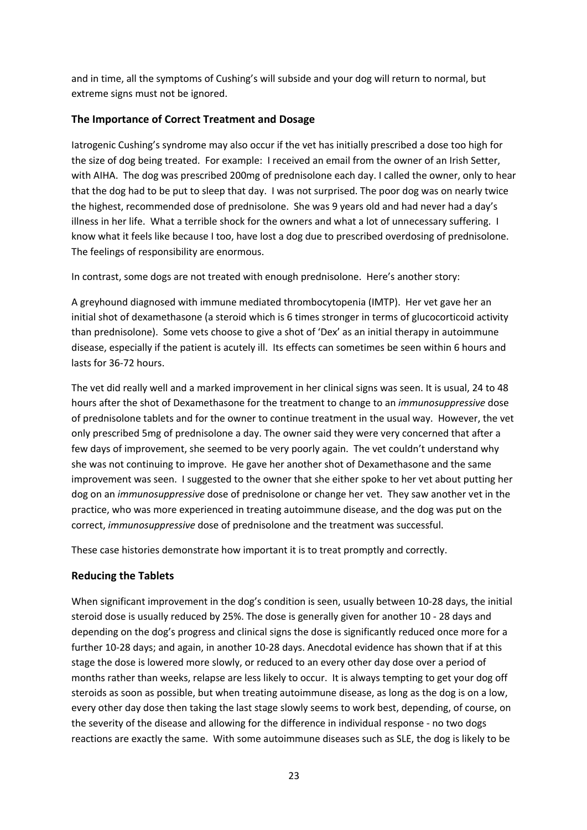and in time, all the symptoms of Cushing's will subside and your dog will return to normal, but extreme signs must not be ignored.

# **The Importance of Correct Treatment and Dosage**

Iatrogenic Cushing's syndrome may also occur if the vet has initially prescribed a dose too high for the size of dog being treated. For example: I received an email from the owner of an Irish Setter, with AIHA. The dog was prescribed 200mg of prednisolone each day. I called the owner, only to hear that the dog had to be put to sleep that day. I was not surprised. The poor dog was on nearly twice the highest, recommended dose of prednisolone. She was 9 years old and had never had a day's illness in her life. What a terrible shock for the owners and what a lot of unnecessary suffering. I know what it feels like because I too, have lost a dog due to prescribed overdosing of prednisolone. The feelings of responsibility are enormous.

In contrast, some dogs are not treated with enough prednisolone. Here's another story:

A greyhound diagnosed with immune mediated thrombocytopenia (IMTP). Her vet gave her an initial shot of dexamethasone (a steroid which is 6 times stronger in terms of glucocorticoid activity than prednisolone). Some vets choose to give a shot of 'Dex' as an initial therapy in autoimmune disease, especially if the patient is acutely ill. Its effects can sometimes be seen within 6 hours and lasts for 36-72 hours.

The vet did really well and a marked improvement in her clinical signs was seen. It is usual, 24 to 48 hours after the shot of Dexamethasone for the treatment to change to an *immunosuppressive* dose of prednisolone tablets and for the owner to continue treatment in the usual way. However, the vet only prescribed 5mg of prednisolone a day. The owner said they were very concerned that after a few days of improvement, she seemed to be very poorly again. The vet couldn't understand why she was not continuing to improve. He gave her another shot of Dexamethasone and the same improvement was seen. I suggested to the owner that she either spoke to her vet about putting her dog on an *immunosuppressive* dose of prednisolone or change her vet. They saw another vet in the practice, who was more experienced in treating autoimmune disease, and the dog was put on the correct, *immunosuppressive* dose of prednisolone and the treatment was successful.

These case histories demonstrate how important it is to treat promptly and correctly.

# **Reducing the Tablets**

When significant improvement in the dog's condition is seen, usually between 10-28 days, the initial steroid dose is usually reduced by 25%. The dose is generally given for another 10 - 28 days and depending on the dog's progress and clinical signs the dose is significantly reduced once more for a further 10-28 days; and again, in another 10-28 days. Anecdotal evidence has shown that if at this stage the dose is lowered more slowly, or reduced to an every other day dose over a period of months rather than weeks, relapse are less likely to occur. It is always tempting to get your dog off steroids as soon as possible, but when treating autoimmune disease, as long as the dog is on a low, every other day dose then taking the last stage slowly seems to work best, depending, of course, on the severity of the disease and allowing for the difference in individual response - no two dogs reactions are exactly the same. With some autoimmune diseases such as SLE, the dog is likely to be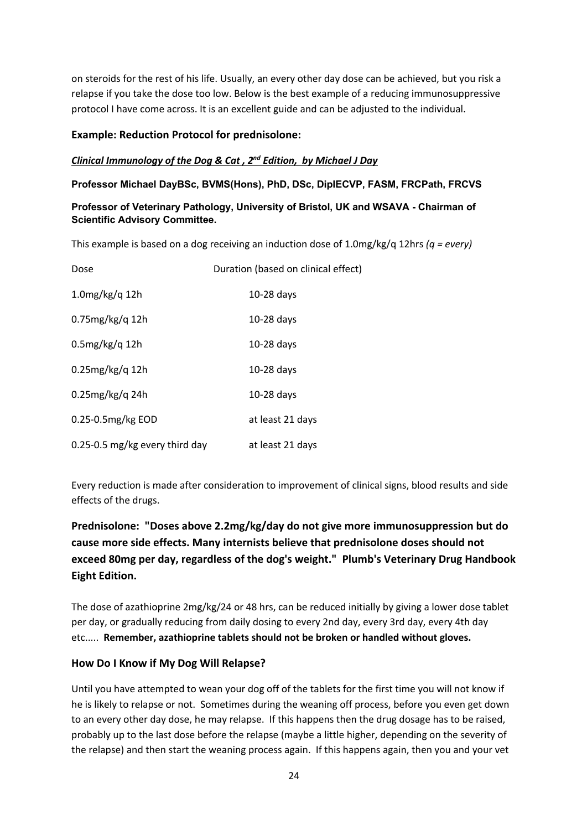on steroids for the rest of his life. Usually, an every other day dose can be achieved, but you risk a relapse if you take the dose too low. Below is the best example of a reducing immunosuppressive protocol I have come across. It is an excellent guide and can be adjusted to the individual.

# **Example: Reduction Protocol for prednisolone:**

# *Clinical Immunology of the Dog & Cat , 2nd Edition, by Michael J Day*

# **Professor Michael DayBSc, BVMS(Hons), PhD, DSc, DiplECVP, FASM, FRCPath, FRCVS**

# **Professor of Veterinary Pathology, University of Bristol, UK and WSAVA - Chairman of Scientific Advisory Committee.**

This example is based on a dog receiving an induction dose of 1.0mg/kg/q 12hrs *(q = every)*

| Dose                           | Duration (based on clinical effect) |
|--------------------------------|-------------------------------------|
| $1.0$ mg/kg/q 12h              | $10-28$ days                        |
| $0.75$ mg/kg/q 12h             | $10-28$ days                        |
| $0.5mg/kg/q$ 12h               | $10-28$ days                        |
| $0.25$ mg/kg/q 12h             | $10-28$ days                        |
| $0.25$ mg/kg/q 24h             | $10-28$ days                        |
| 0.25-0.5mg/kg EOD              | at least 21 days                    |
| 0.25-0.5 mg/kg every third day | at least 21 days                    |

Every reduction is made after consideration to improvement of clinical signs, blood results and side effects of the drugs.

# **Prednisolone: "Doses above 2.2mg/kg/day do not give more immunosuppression but do cause more side effects. Many internists believe that prednisolone doses should not exceed 80mg per day, regardless of the dog's weight." Plumb's Veterinary Drug Handbook Eight Edition.**

The dose of azathioprine 2mg/kg/24 or 48 hrs, can be reduced initially by giving a lower dose tablet per day, or gradually reducing from daily dosing to every 2nd day, every 3rd day, every 4th day etc..... **Remember, azathioprine tablets should not be broken or handled without gloves.**

# **How Do I Know if My Dog Will Relapse?**

Until you have attempted to wean your dog off of the tablets for the first time you will not know if he is likely to relapse or not. Sometimes during the weaning off process, before you even get down to an every other day dose, he may relapse. If this happens then the drug dosage has to be raised, probably up to the last dose before the relapse (maybe a little higher, depending on the severity of the relapse) and then start the weaning process again. If this happens again, then you and your vet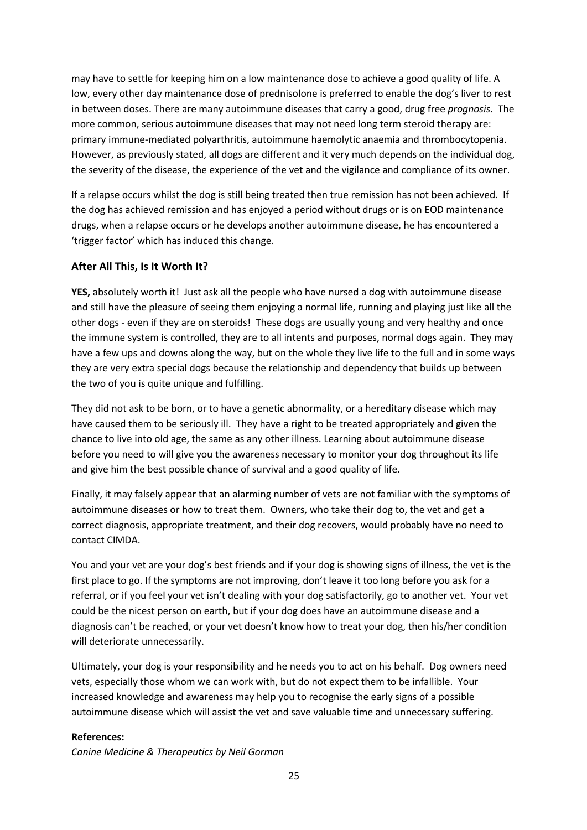may have to settle for keeping him on a low maintenance dose to achieve a good quality of life. A low, every other day maintenance dose of prednisolone is preferred to enable the dog's liver to rest in between doses. There are many autoimmune diseases that carry a good, drug free *prognosis*. The more common, serious autoimmune diseases that may not need long term steroid therapy are: primary immune-mediated polyarthritis, autoimmune haemolytic anaemia and thrombocytopenia. However, as previously stated, all dogs are different and it very much depends on the individual dog, the severity of the disease, the experience of the vet and the vigilance and compliance of its owner.

If a relapse occurs whilst the dog is still being treated then true remission has not been achieved. If the dog has achieved remission and has enjoyed a period without drugs or is on EOD maintenance drugs, when a relapse occurs or he develops another autoimmune disease, he has encountered a 'trigger factor' which has induced this change.

# **After All This, Is It Worth It?**

**YES,** absolutely worth it! Just ask all the people who have nursed a dog with autoimmune disease and still have the pleasure of seeing them enjoying a normal life, running and playing just like all the other dogs - even if they are on steroids! These dogs are usually young and very healthy and once the immune system is controlled, they are to all intents and purposes, normal dogs again. They may have a few ups and downs along the way, but on the whole they live life to the full and in some ways they are very extra special dogs because the relationship and dependency that builds up between the two of you is quite unique and fulfilling.

They did not ask to be born, or to have a genetic abnormality, or a hereditary disease which may have caused them to be seriously ill. They have a right to be treated appropriately and given the chance to live into old age, the same as any other illness. Learning about autoimmune disease before you need to will give you the awareness necessary to monitor your dog throughout its life and give him the best possible chance of survival and a good quality of life.

Finally, it may falsely appear that an alarming number of vets are not familiar with the symptoms of autoimmune diseases or how to treat them. Owners, who take their dog to, the vet and get a correct diagnosis, appropriate treatment, and their dog recovers, would probably have no need to contact CIMDA.

You and your vet are your dog's best friends and if your dog is showing signs of illness, the vet is the first place to go. If the symptoms are not improving, don't leave it too long before you ask for a referral, or if you feel your vet isn't dealing with your dog satisfactorily, go to another vet. Your vet could be the nicest person on earth, but if your dog does have an autoimmune disease and a diagnosis can't be reached, or your vet doesn't know how to treat your dog, then his/her condition will deteriorate unnecessarily.

Ultimately, your dog is your responsibility and he needs you to act on his behalf. Dog owners need vets, especially those whom we can work with, but do not expect them to be infallible. Your increased knowledge and awareness may help you to recognise the early signs of a possible autoimmune disease which will assist the vet and save valuable time and unnecessary suffering.

# **References:**

*Canine Medicine & Therapeutics by Neil Gorman*